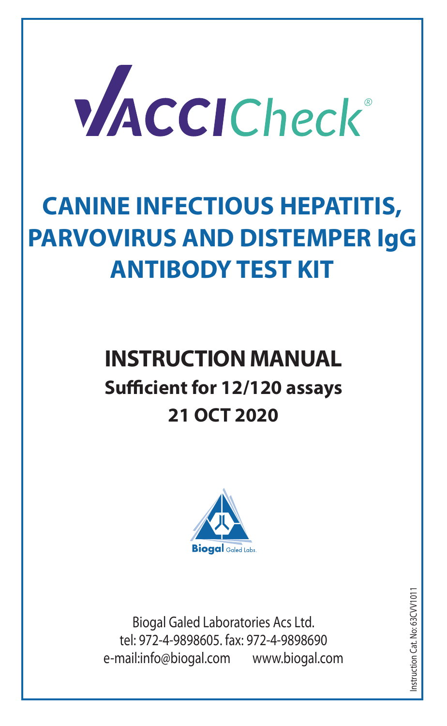

# **CANINE INFECTIOUS HEPATITIS, PARVOVIRUS AND DISTEMPER IgG ANTIBODY TEST KIT**

# **INSTRUCTION MANUAL Sufficient for 12/120 assays 21 OCT 2020**



Biogal Galed Laboratories Acs Ltd. tel: 972-4-9898605. fax: 972-4-9898690 e-mail:info@biogal.com www.biogal.com

Instruction Cat. No: 63CVV1011nstruction Cat. No: 63CVV101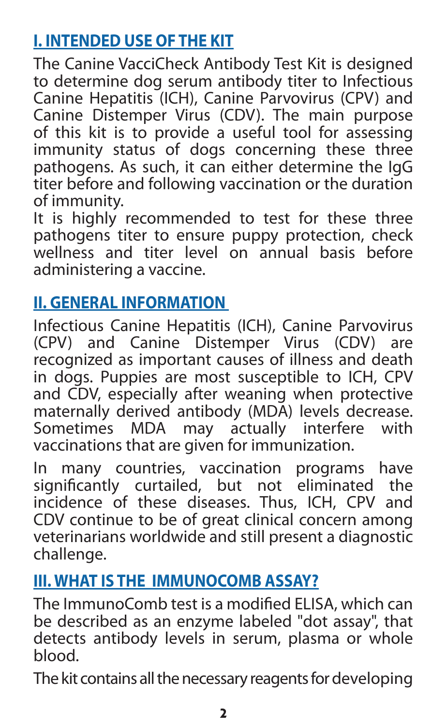# **I. INTENDED USE OF THE KIT**

The Canine VacciCheck Antibody Test Kit is designed to determine dog serum antibody titer to Infectious Canine Hepatitis (ICH), Canine Parvovirus (CPV) and Canine Distemper Virus (CDV). The main purpose of this kit is to provide a useful tool for assessing immunity status of dogs concerning these three pathogens. As such, it can either determine the IgG titer before and following vaccination or the duration of immunity.

It is highly recommended to test for these three pathogens titer to ensure puppy protection, check wellness and titer level on annual basis before administering a vaccine.

## **II. GENERAL INFORMATION**

Infectious Canine Hepatitis (ICH), Canine Parvovirus (CPV) and Canine Distemper Virus (CDV) are recognized as important causes of illness and death in dogs. Puppies are most susceptible to ICH, CPV and CDV, especially after weaning when protective maternally derived antibody (MDA) levels decrease.<br>Sometimes MDA may actually interfere with  $S$ ometimes MDA may actually interfere vaccinations that are given for immunization.

In many countries, vaccination programs have significantly curtailed, but not eliminated the incidence of these diseases. Thus, ICH, CPV and CDV continue to be of great clinical concern among veterinarians worldwide and still present a diagnostic challenge.

### **III. WHAT IS THE IMMUNOCOMB ASSAY?**

The ImmunoComb test is a modified ELISA, which can be described as an enzyme labeled "dot assay", that detects antibody levels in serum, plasma or whole blood.

The kit contains all the necessary reagents for developing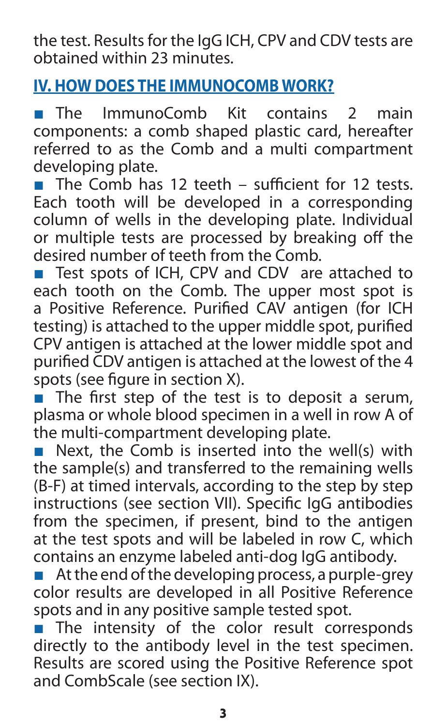the test. Results for the IgG ICH, CPV and CDV tests are obtained within 23 minutes.

## **IV. HOW DOES THE IMMUNOCOMB WORK?**

■ The ImmunoComb Kit contains 2 main components: a comb shaped plastic card, hereafter referred to as the Comb and a multi compartment developing plate.

■ The Comb has 12 teeth – sufficient for 12 tests. Each tooth will be developed in a corresponding column of wells in the developing plate. Individual or multiple tests are processed by breaking off the desired number of teeth from the Comb.

■ Test spots of ICH, CPV and CDV are attached to each tooth on the Comb. The upper most spot is a Positive Reference. Purified CAV antigen (for ICH testing) is attached to the upper middle spot, purified CPV antigen is attached at the lower middle spot and purified CDV antigen is attached at the lowest of the 4 spots (see figure in section X).

■ The first step of the test is to deposit a serum, plasma or whole blood specimen in a well in row A of the multi-compartment developing plate.

■ Next, the Comb is inserted into the well(s) with the sample(s) and transferred to the remaining wells (B-F) at timed intervals, according to the step by step instructions (see section VII). Specific IgG antibodies from the specimen, if present, bind to the antigen at the test spots and will be labeled in row C, which contains an enzyme labeled anti-dog IgG antibody.

 $\blacksquare$  At the end of the developing process, a purple-grey color results are developed in all Positive Reference spots and in any positive sample tested spot.

■ The intensity of the color result corresponds directly to the antibody level in the test specimen. Results are scored using the Positive Reference spot and CombScale (see section IX).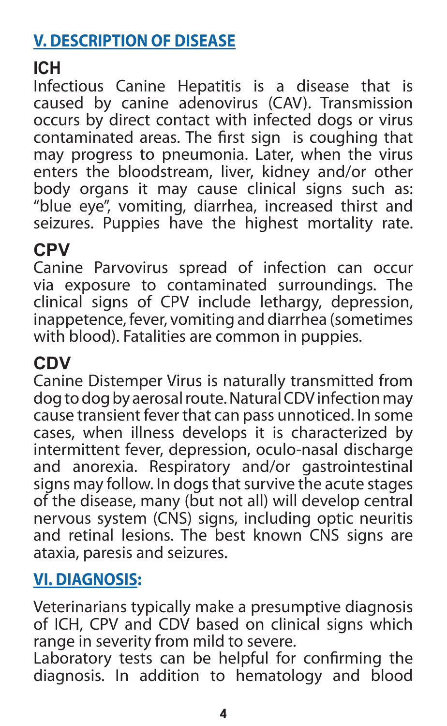# **V. DESCRIPTION OF DISEASE**

# **ICH**

Infectious Canine Hepatitis is a disease that is caused by canine adenovirus (CAV). Transmission occurs by direct contact with infected dogs or virus contaminated areas. The first sign is coughing that may progress to pneumonia. Later, when the virus enters the bloodstream, liver, kidney and/or other body organs it may cause clinical signs such as: "blue eye", vomiting, diarrhea, increased thirst and seizures. Puppies have the highest mortality rate.

### **CPV**

Canine Parvovirus spread of infection can occur via exposure to contaminated surroundings. The clinical signs of CPV include lethargy, depression, inappetence, fever, vomiting and diarrhea (sometimes with blood). Fatalities are common in puppies.

## **CDV**

Canine Distemper Virus is naturally transmitted from dog to dog by aerosal route. Natural CDV infection may cause transient fever that can pass unnoticed. In some cases, when illness develops it is characterized by intermittent fever, depression, oculo-nasal discharge and anorexia. Respiratory and/or gastrointestinal signs may follow. In dogs that survive the acute stages of the disease, many (but not all) will develop central nervous system (CNS) signs, including optic neuritis and retinal lesions. The best known CNS signs are ataxia, paresis and seizures.

### **VI. DIAGNOSIS:**

Veterinarians typically make a presumptive diagnosis of ICH, CPV and CDV based on clinical signs which range in severity from mild to severe.

Laboratory tests can be helpful for confirming the diagnosis. In addition to hematology and blood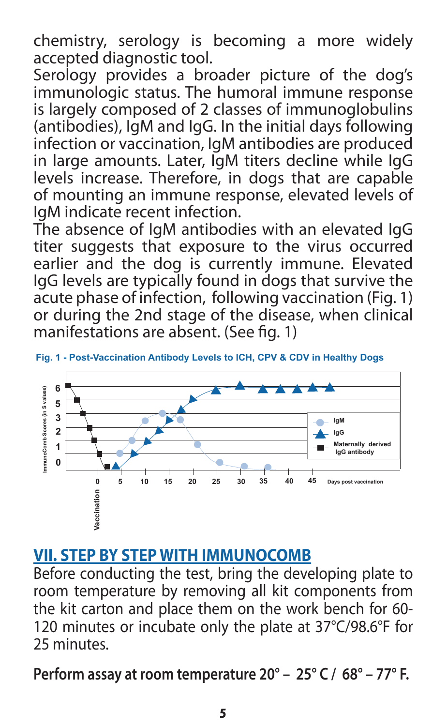chemistry, serology is becoming a more widely accepted diagnostic tool.

Serology provides a broader picture of the dog's immunologic status. The humoral immune response is largely composed of 2 classes of immunoglobulins (antibodies), IgM and IgG. In the initial days following infection or vaccination, IgM antibodies are produced in large amounts. Later, IgM titers decline while IgG levels increase. Therefore, in dogs that are capable of mounting an immune response, elevated levels of IgM indicate recent infection.

The absence of IgM antibodies with an elevated IgG titer suggests that exposure to the virus occurred earlier and the dog is currently immune. Elevated IgG levels are typically found in dogs that survive the acute phase of infection, following vaccination (Fig. 1) or during the 2nd stage of the disease, when clinical manifestations are absent. (See fig. 1)





#### **VII. STEP BY STEP WITH IMMUNOCOMB**

Before conducting the test, bring the developing plate to room temperature by removing all kit components from the kit carton and place them on the work bench for 60- 120 minutes or incubate only the plate at 37°C/98.6°F for 25 minutes.

**Perform assay at room temperature 20° – 25° C / 68° – 77° F.**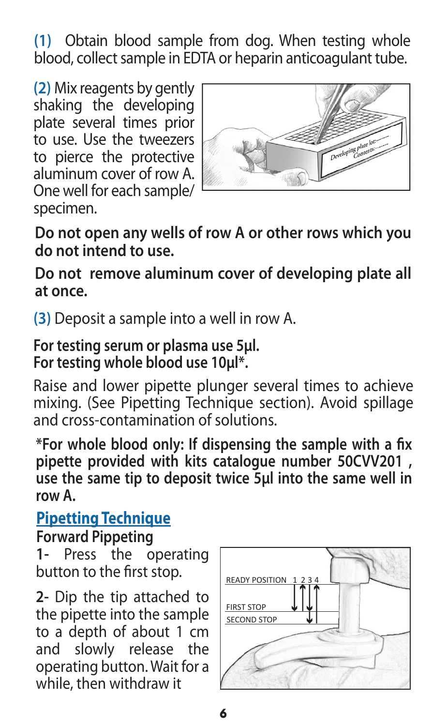**(1)** Obtain blood sample from dog. When testing whole blood, collect sample in EDTA or heparin anticoagulant tube.

**(2)** Mix reagents by gently shaking the developing plate several times prior to use Use the tweezers to pierce the protective aluminum cover of row A. One well for each sample/ specimen.



**Do not open any wells of row A or other rows which you do not intend to use.**

**Do not remove aluminum cover of developing plate all at once.**

**(3)** Deposit a sample into a well in row A.

**For testing serum or plasma use 5μl. For testing whole blood use 10μl\*.** 

Raise and lower pipette plunger several times to achieve mixing. (See Pipetting Technique section). Avoid spillage and cross-contamination of solutions.

**\*For whole blood only: If dispensing the sample with a fix pipette provided with kits catalogue number 50CVV201 , use the same tip to deposit twice 5µl into the same well in row A.**

## **Pipetting Technique**

**Forward Pippeting**

**1-** Press the operating button to the first stop.

**2-** Dip the tip attached to the pipette into the sample to a depth of about 1 cm and slowly release the operating button. Wait for a while, then withdraw it

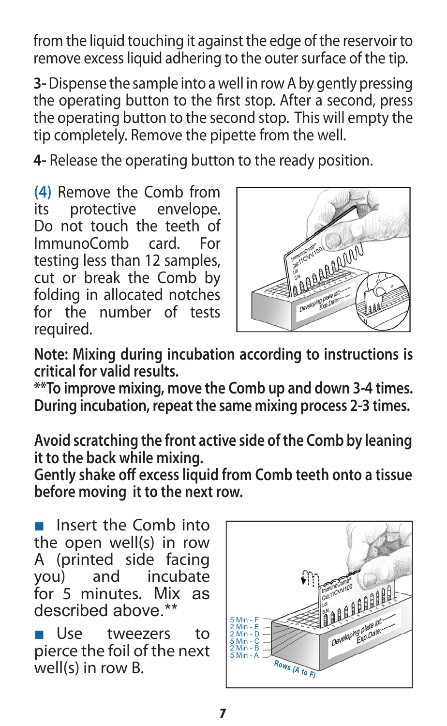from the liquid touching it against the edge of the reservoir to remove excess liquid adhering to the outer surface of the tip.

**3-** Dispense the sample into a well in row A by gently pressing the operating button to the first stop. After a second, press the operating button to the second stop. This will empty the tip completely. Remove the pipette from the well.

**4-** Release the operating button to the ready position.

**(4)** Remove the Comb from protective Do not touch the teeth of ImmunoComb card. For testing less than 12 samples, cut or break the Comb by folding in allocated notches for the number of tests required.



**Note: Mixing during incubation according to instructions is critical for valid results.**

**\*\*To improve mixing, move the Comb up and down 3-4 times. During incubation, repeat the same mixing process 2-3 times.** 

**Avoid scratching the front active side of the Comb by leaning it to the back while mixing.**

**Gently shake off excess liquid from Comb teeth onto a tissue before moving it to the next row.**

Insert the Comb into the open well(s) in row A (printed side facing<br>you) and incubate and incubate for 5 minutes. Mix as described above.\*\*

■ Use tweezers to pierce the foil of the next well(s) in row B.

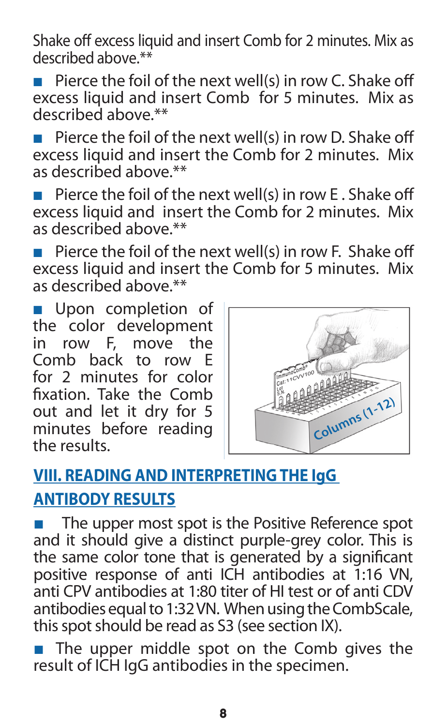Shake off excess liquid and insert Comb for 2 minutes. Mix as described above.\*\*

■ Pierce the foil of the next well(s) in row C. Shake off excess liquid and insert Comb for 5 minutes. Mix as described above.\*\*

■ Pierce the foil of the next well(s) in row D. Shake off excess liquid and insert the Comb for 2 minutes. Mix as described above.\*\*

■ Pierce the foil of the next well(s) in row E. Shake off excess liquid and insert the Comb for 2 minutes. Mix as described above.\*\*

■ Pierce the foil of the next well(s) in row F. Shake off excess liquid and insert the Comb for 5 minutes. Mix as described above.\*\*

■ Upon completion of the color development in row  $F$  move the Comb back to row E for 2 minutes for color fixation. Take the Comb out and let it dry for 5 minutes before reading<br>the results



# **VIII. READING AND INTERPRETING THE IgG ANTIBODY RESULTS**

The upper most spot is the Positive Reference spot and it should give a distinct purple-grey color. This is the same color tone that is generated by a significant positive response of anti ICH antibodies at 1:16 VN, anti CPV antibodies at 1:80 titer of HI test or of anti CDV antibodies equal to 1:32 VN. When using the CombScale, this spot should be read as S3 (see section IX).

■ The upper middle spot on the Comb gives the result of ICH IgG antibodies in the specimen.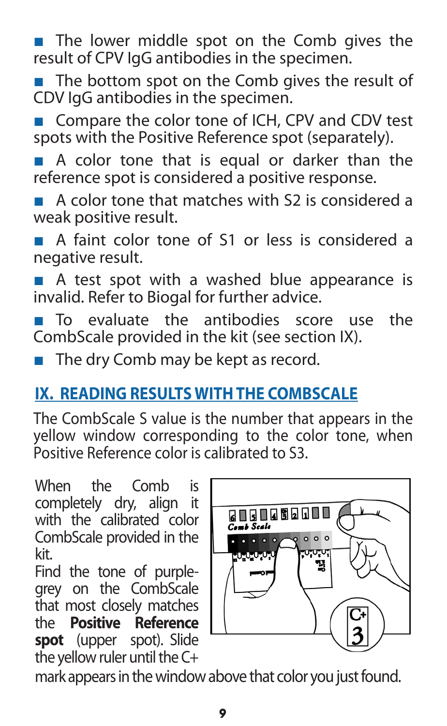■ The lower middle spot on the Comb gives the result of CPV IgG antibodies in the specimen.

- The bottom spot on the Comb gives the result of CDV IgG antibodies in the specimen.
- Compare the color tone of ICH, CPV and CDV test spots with the Positive Reference spot (separately).

■ A color tone that is equal or darker than the reference spot is considered a positive response.

A color tone that matches with S2 is considered a weak positive result.

■ A faint color tone of S1 or less is considered a negative result.

■ A test spot with a washed blue appearance is invalid. Refer to Biogal for further advice.

■ To evaluate the antibodies score use the CombScale provided in the kit (see section IX).

■ The dry Comb may be kept as record.

# **IX. READING RESULTS WITH THE COMBSCALE**

The CombScale S value is the number that appears in the yellow window corresponding to the color tone, when Positive Reference color is calibrated to S3.

When the Comb is completely dry, align it with the calibrated color CombScale provided in the kit.

Find the tone of purplegrey on the CombScale that most closely matches<br>the **Positive Reference** the **Positive spot** (upper spot). Slide the yellow ruler until the C+



mark appears in the window above that color you just found.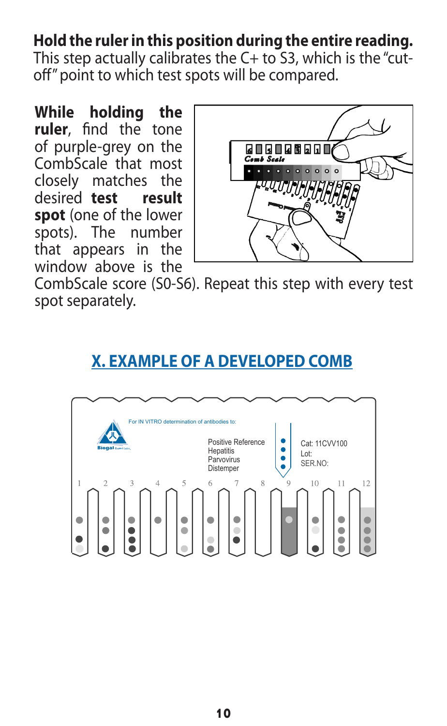#### **Hold the ruler in this position during the entire reading.**

This step actually calibrates the C+ to S3, which is the "cutoff" point to which test spots will be compared.

**While holding the ruler**, find the tone of purple-grey on the CombScale that most closely matches the desired **test result spot** (one of the lower spots). The number spots). The that appears in the window above is the



CombScale score (S0-S6). Repeat this step with every test spot separately.

#### **X. EXAMPLE OF A DEVELOPED COMB**

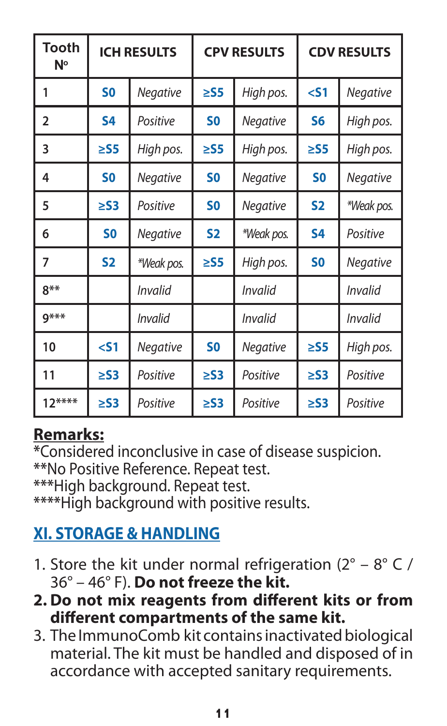| <b>Tooth</b><br>Ν° | <b>ICH RESULTS</b> |                 | <b>CPV RESULTS</b> |            | <b>CDV RESULTS</b> |                 |
|--------------------|--------------------|-----------------|--------------------|------------|--------------------|-----------------|
| 1                  | S <sub>0</sub>     | Negative        | $\geq$ S5          | High pos.  | $<$ 51             | Negative        |
| 2                  | \$4                | Positive        | S <sub>0</sub>     | Negative   | S <sub>6</sub>     | High pos.       |
| 3                  | $\geq$ S5          | High pos.       | $\geq$ S5          | High pos.  | $\geq$ S5          | High pos.       |
| 4                  | S0                 | <b>Negative</b> | S <sub>0</sub>     | Negative   | S <sub>0</sub>     | <b>Negative</b> |
| 5                  | $\geq$ S3          | Positive        | S <sub>0</sub>     | Negative   | <b>S2</b>          | *Weak pos.      |
| 6                  | S <sub>0</sub>     | <b>Negative</b> | <b>S2</b>          | *Weak pos. | <b>S4</b>          | Positive        |
| 7                  | <b>S2</b>          | *Weak pos.      | $\geq$ S5          | High pos.  | S <sub>0</sub>     | Negative        |
| $8**$              |                    | <b>Invalid</b>  |                    | Invalid    |                    | Invalid         |
| $9***$             |                    | Invalid         |                    | Invalid    |                    | Invalid         |
| 10                 | $51$               | Negative        | S <sub>0</sub>     | Negative   | $\geq$ S5          | High pos.       |
| 11                 | $\geq$ S3          | Positive        | $\geq$ S3          | Positive   | $\geq$ S3          | Positive        |
| $12***$            | $\geq$ S3          | Positive        | $\geq$ S3          | Positive   | $\geq$ S3          | Positive        |

### **Remarks:**

**\***Considered inconclusive in case of disease suspicion. **\*\***No Positive Reference. Repeat test.

**\*\*\***High background. Repeat test.

**\*\*\*\***High background with positive results.

# **XI. STORAGE & HANDLING**

- 1. Store the kit under normal refrigeration  $(2^{\circ} 8^{\circ} C)$ 36° – 46° F). **Do not freeze the kit.**
- **2. Do not mix reagents from different kits or from different compartments of the same kit.**
- 3. The ImmunoComb kit contains inactivated biological material. The kit must be handled and disposed of in accordance with accepted sanitary requirements.